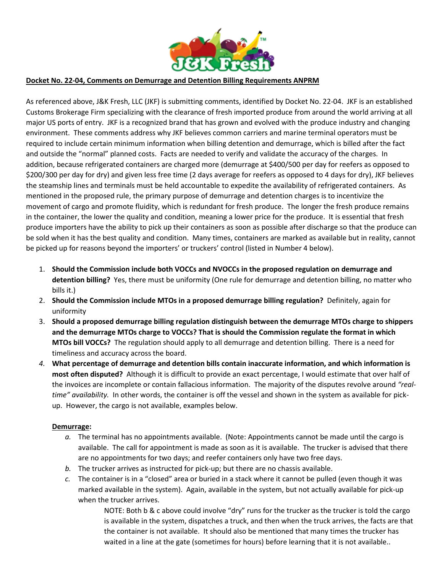

## **Docket No. 22-04, Comments on Demurrage and Detention Billing Requirements ANPRM**

As referenced above, J&K Fresh, LLC (JKF) is submitting comments, identified by Docket No. 22-04. JKF is an established Customs Brokerage Firm specializing with the clearance of fresh imported produce from around the world arriving at all major US ports of entry. JKF is a recognized brand that has grown and evolved with the produce industry and changing environment. These comments address why JKF believes common carriers and marine terminal operators must be required to include certain minimum information when billing detention and demurrage, which is billed after the fact and outside the "normal" planned costs. Facts are needed to verify and validate the accuracy of the charges. In addition, because refrigerated containers are charged more (demurrage at \$400/500 per day for reefers as opposed to \$200/300 per day for dry) and given less free time (2 days average for reefers as opposed to 4 days for dry), JKF believes the steamship lines and terminals must be held accountable to expedite the availability of refrigerated containers. As mentioned in the proposed rule, the primary purpose of demurrage and detention charges is to incentivize the movement of cargo and promote fluidity, which is redundant for fresh produce. The longer the fresh produce remains in the container, the lower the quality and condition, meaning a lower price for the produce. It is essential that fresh produce importers have the ability to pick up their containers as soon as possible after discharge so that the produce can be sold when it has the best quality and condition. Many times, containers are marked as available but in reality, cannot be picked up for reasons beyond the importers' or truckers' control (listed in Number 4 below).

- 1. **Should the Commission include both VOCCs and NVOCCs in the proposed regulation on demurrage and detention billing?** Yes, there must be uniformity (One rule for demurrage and detention billing, no matter who bills it.)
- 2. **Should the Commission include MTOs in a proposed demurrage billing regulation?** Definitely, again for uniformity
- 3. **Should a proposed demurrage billing regulation distinguish between the demurrage MTOs charge to shippers and the demurrage MTOs charge to VOCCs? That is should the Commission regulate the format in which MTOs bill VOCCs?** The regulation should apply to all demurrage and detention billing. There is a need for timeliness and accuracy across the board.
- *4.* **What percentage of demurrage and detention bills contain inaccurate information, and which information is most often disputed?** Although it is difficult to provide an exact percentage, I would estimate that over half of the invoices are incomplete or contain fallacious information. The majority of the disputes revolve around *"realtime" availability.* In other words, the container is off the vessel and shown in the system as available for pickup. However, the cargo is not available, examples below.

## **Demurrage:**

- *a.* The terminal has no appointments available. (Note: Appointments cannot be made until the cargo is available. The call for appointment is made as soon as it is available. The trucker is advised that there are no appointments for two days; and reefer containers only have two free days.
- *b.* The trucker arrives as instructed for pick-up; but there are no chassis available.
- *c.* The container is in a "closed" area or buried in a stack where it cannot be pulled (even though it was marked available in the system). Again, available in the system, but not actually available for pick-up when the trucker arrives.

NOTE: Both b & c above could involve "dry" runs for the trucker as the trucker is told the cargo is available in the system, dispatches a truck, and then when the truck arrives, the facts are that the container is not available. It should also be mentioned that many times the trucker has waited in a line at the gate (sometimes for hours) before learning that it is not available..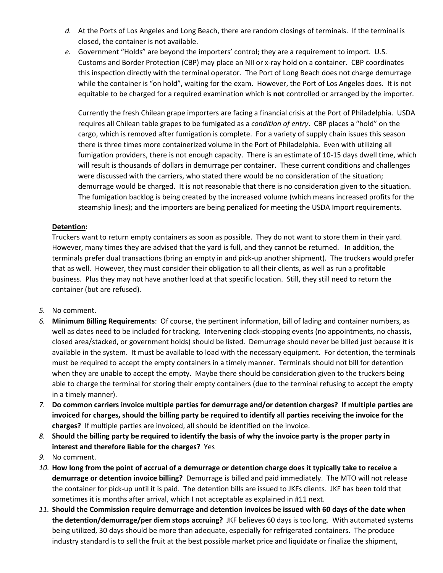- *d.* At the Ports of Los Angeles and Long Beach, there are random closings of terminals. If the terminal is closed, the container is not available.
- *e.* Government "Holds" are beyond the importers' control; they are a requirement to import. U.S. Customs and Border Protection (CBP) may place an NII or x-ray hold on a container. CBP coordinates this inspection directly with the terminal operator. The Port of Long Beach does not charge demurrage while the container is "on hold", waiting for the exam. However, the Port of Los Angeles does. It is not equitable to be charged for a required examination which is **not** controlled or arranged by the importer.

Currently the fresh Chilean grape importers are facing a financial crisis at the Port of Philadelphia. USDA requires all Chilean table grapes to be fumigated as a *condition of entry*. CBP places a "hold" on the cargo, which is removed after fumigation is complete. For a variety of supply chain issues this season there is three times more containerized volume in the Port of Philadelphia. Even with utilizing all fumigation providers, there is not enough capacity. There is an estimate of 10-15 days dwell time, which will result is thousands of dollars in demurrage per container. These current conditions and challenges were discussed with the carriers, who stated there would be no consideration of the situation; demurrage would be charged. It is not reasonable that there is no consideration given to the situation. The fumigation backlog is being created by the increased volume (which means increased profits for the steamship lines); and the importers are being penalized for meeting the USDA Import requirements.

## **Detention:**

Truckers want to return empty containers as soon as possible. They do not want to store them in their yard. However, many times they are advised that the yard is full, and they cannot be returned. In addition, the terminals prefer dual transactions (bring an empty in and pick-up another shipment). The truckers would prefer that as well. However, they must consider their obligation to all their clients, as well as run a profitable business. Plus they may not have another load at that specific location. Still, they still need to return the container (but are refused).

## *5.* No comment.

- *6.* **Minimum Billing Requirements**: Of course, the pertinent information, bill of lading and container numbers, as well as dates need to be included for tracking. Intervening clock-stopping events (no appointments, no chassis, closed area/stacked, or government holds) should be listed. Demurrage should never be billed just because it is available in the system. It must be available to load with the necessary equipment. For detention, the terminals must be required to accept the empty containers in a timely manner. Terminals should not bill for detention when they are unable to accept the empty. Maybe there should be consideration given to the truckers being able to charge the terminal for storing their empty containers (due to the terminal refusing to accept the empty in a timely manner).
- *7.* **Do common carriers invoice multiple parties for demurrage and/or detention charges? If multiple parties are invoiced for charges, should the billing party be required to identify all parties receiving the invoice for the charges?** If multiple parties are invoiced, all should be identified on the invoice.
- *8.* **Should the billing party be required to identify the basis of why the invoice party is the proper party in interest and therefore liable for the charges?** Yes
- *9.* No comment.
- *10.* **How long from the point of accrual of a demurrage or detention charge does it typically take to receive a demurrage or detention invoice billing?** Demurrage is billed and paid immediately. The MTO will not release the container for pick-up until it is paid. The detention bills are issued to JKFs clients. JKF has been told that sometimes it is months after arrival, which I not acceptable as explained in #11 next.
- *11.* **Should the Commission require demurrage and detention invoices be issued with 60 days of the date when the detention/demurrage/per diem stops accruing?** JKF believes 60 days is too long. With automated systems being utilized, 30 days should be more than adequate, especially for refrigerated containers. The produce industry standard is to sell the fruit at the best possible market price and liquidate or finalize the shipment,